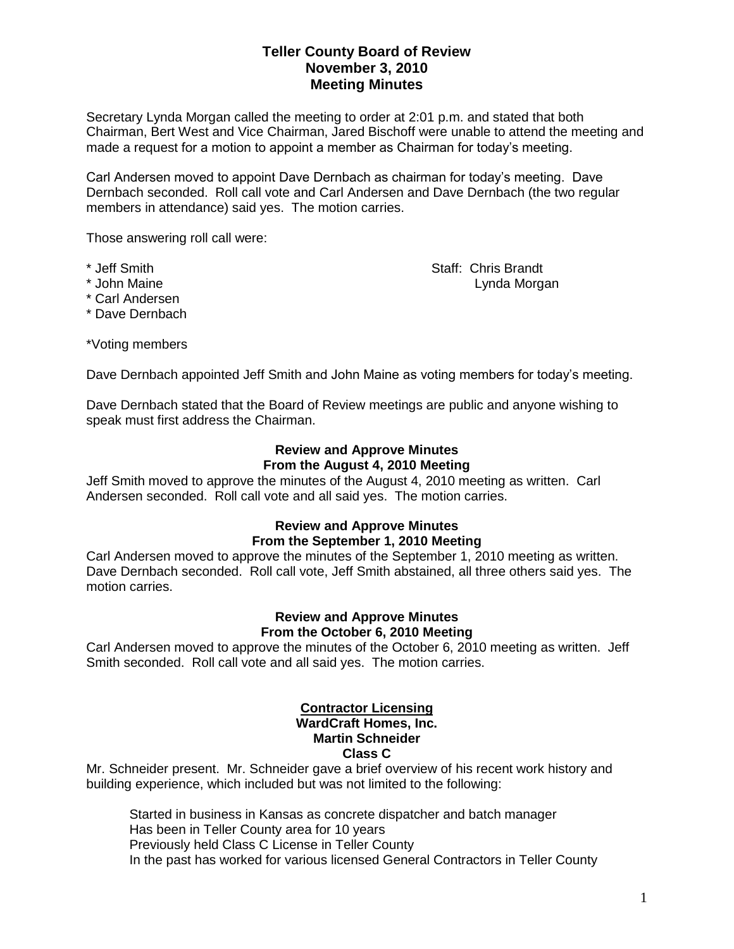## **Teller County Board of Review November 3, 2010 Meeting Minutes**

Secretary Lynda Morgan called the meeting to order at 2:01 p.m. and stated that both Chairman, Bert West and Vice Chairman, Jared Bischoff were unable to attend the meeting and made a request for a motion to appoint a member as Chairman for today's meeting.

Carl Andersen moved to appoint Dave Dernbach as chairman for today's meeting. Dave Dernbach seconded. Roll call vote and Carl Andersen and Dave Dernbach (the two regular members in attendance) said yes. The motion carries.

Those answering roll call were:

\* Jeff Smith Staff: Chris Brandt Staff: Chris Brandt \* John Maine Lynda Morgan

- \* Carl Andersen
- \* Dave Dernbach

\*Voting members

Dave Dernbach appointed Jeff Smith and John Maine as voting members for today's meeting.

Dave Dernbach stated that the Board of Review meetings are public and anyone wishing to speak must first address the Chairman.

### **Review and Approve Minutes From the August 4, 2010 Meeting**

Jeff Smith moved to approve the minutes of the August 4, 2010 meeting as written. Carl Andersen seconded. Roll call vote and all said yes. The motion carries.

# **Review and Approve Minutes From the September 1, 2010 Meeting**

Carl Andersen moved to approve the minutes of the September 1, 2010 meeting as written. Dave Dernbach seconded. Roll call vote, Jeff Smith abstained, all three others said yes. The motion carries.

### **Review and Approve Minutes From the October 6, 2010 Meeting**

Carl Andersen moved to approve the minutes of the October 6, 2010 meeting as written. Jeff Smith seconded. Roll call vote and all said yes. The motion carries.

### **Contractor Licensing WardCraft Homes, Inc. Martin Schneider Class C**

Mr. Schneider present. Mr. Schneider gave a brief overview of his recent work history and building experience, which included but was not limited to the following:

Started in business in Kansas as concrete dispatcher and batch manager Has been in Teller County area for 10 years Previously held Class C License in Teller County In the past has worked for various licensed General Contractors in Teller County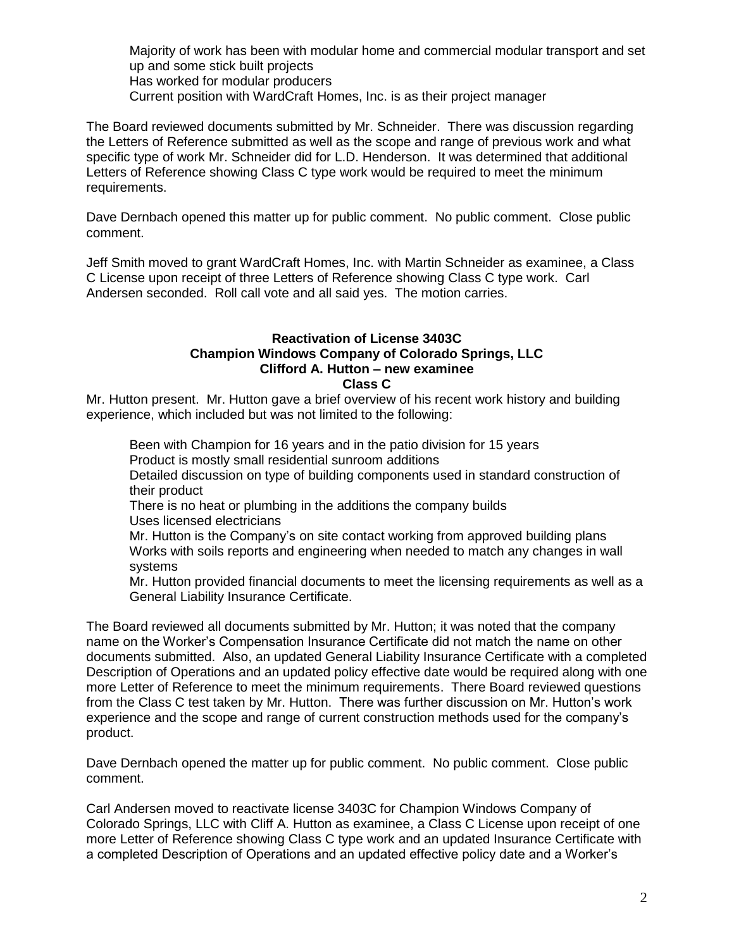Majority of work has been with modular home and commercial modular transport and set up and some stick built projects Has worked for modular producers Current position with WardCraft Homes, Inc. is as their project manager

The Board reviewed documents submitted by Mr. Schneider. There was discussion regarding the Letters of Reference submitted as well as the scope and range of previous work and what specific type of work Mr. Schneider did for L.D. Henderson. It was determined that additional Letters of Reference showing Class C type work would be required to meet the minimum requirements.

Dave Dernbach opened this matter up for public comment. No public comment. Close public comment.

Jeff Smith moved to grant WardCraft Homes, Inc. with Martin Schneider as examinee, a Class C License upon receipt of three Letters of Reference showing Class C type work. Carl Andersen seconded. Roll call vote and all said yes. The motion carries.

#### **Reactivation of License 3403C Champion Windows Company of Colorado Springs, LLC Clifford A. Hutton – new examinee Class C**

Mr. Hutton present. Mr. Hutton gave a brief overview of his recent work history and building experience, which included but was not limited to the following:

Been with Champion for 16 years and in the patio division for 15 years Product is mostly small residential sunroom additions Detailed discussion on type of building components used in standard construction of their product There is no heat or plumbing in the additions the company builds Uses licensed electricians Mr. Hutton is the Company's on site contact working from approved building plans Works with soils reports and engineering when needed to match any changes in wall

systems

Mr. Hutton provided financial documents to meet the licensing requirements as well as a General Liability Insurance Certificate.

The Board reviewed all documents submitted by Mr. Hutton; it was noted that the company name on the Worker's Compensation Insurance Certificate did not match the name on other documents submitted. Also, an updated General Liability Insurance Certificate with a completed Description of Operations and an updated policy effective date would be required along with one more Letter of Reference to meet the minimum requirements. There Board reviewed questions from the Class C test taken by Mr. Hutton. There was further discussion on Mr. Hutton's work experience and the scope and range of current construction methods used for the company's product.

Dave Dernbach opened the matter up for public comment. No public comment. Close public comment.

Carl Andersen moved to reactivate license 3403C for Champion Windows Company of Colorado Springs, LLC with Cliff A. Hutton as examinee, a Class C License upon receipt of one more Letter of Reference showing Class C type work and an updated Insurance Certificate with a completed Description of Operations and an updated effective policy date and a Worker's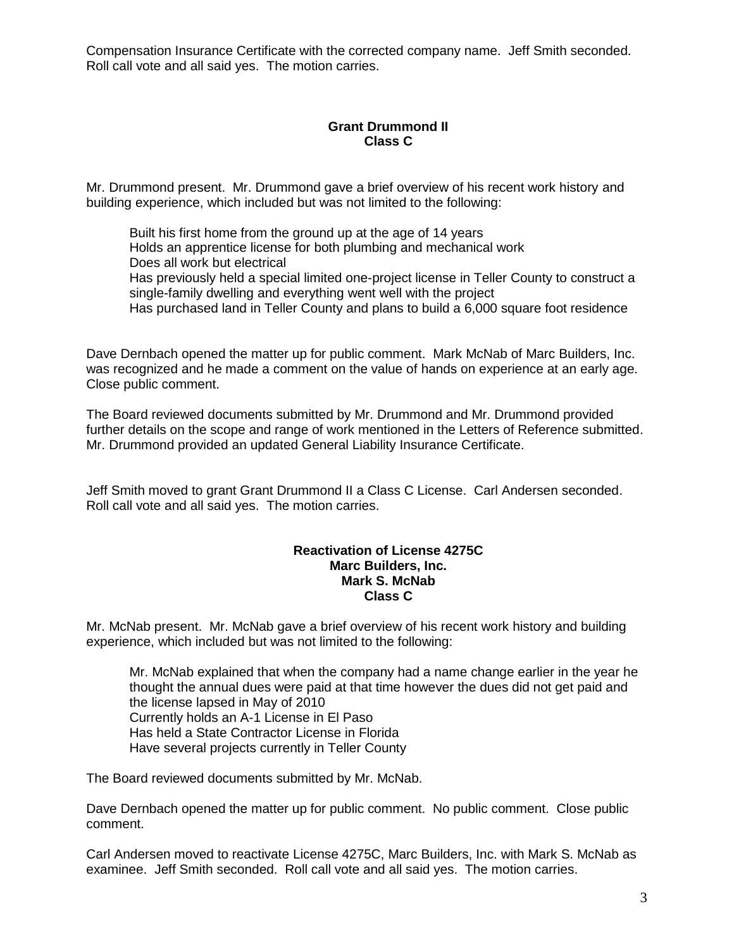Compensation Insurance Certificate with the corrected company name. Jeff Smith seconded. Roll call vote and all said yes. The motion carries.

## **Grant Drummond II Class C**

Mr. Drummond present. Mr. Drummond gave a brief overview of his recent work history and building experience, which included but was not limited to the following:

Built his first home from the ground up at the age of 14 years Holds an apprentice license for both plumbing and mechanical work Does all work but electrical Has previously held a special limited one-project license in Teller County to construct a single-family dwelling and everything went well with the project Has purchased land in Teller County and plans to build a 6,000 square foot residence

Dave Dernbach opened the matter up for public comment. Mark McNab of Marc Builders, Inc. was recognized and he made a comment on the value of hands on experience at an early age. Close public comment.

The Board reviewed documents submitted by Mr. Drummond and Mr. Drummond provided further details on the scope and range of work mentioned in the Letters of Reference submitted. Mr. Drummond provided an updated General Liability Insurance Certificate.

Jeff Smith moved to grant Grant Drummond II a Class C License. Carl Andersen seconded. Roll call vote and all said yes. The motion carries.

### **Reactivation of License 4275C Marc Builders, Inc. Mark S. McNab Class C**

Mr. McNab present. Mr. McNab gave a brief overview of his recent work history and building experience, which included but was not limited to the following:

Mr. McNab explained that when the company had a name change earlier in the year he thought the annual dues were paid at that time however the dues did not get paid and the license lapsed in May of 2010 Currently holds an A-1 License in El Paso Has held a State Contractor License in Florida Have several projects currently in Teller County

The Board reviewed documents submitted by Mr. McNab.

Dave Dernbach opened the matter up for public comment. No public comment. Close public comment.

Carl Andersen moved to reactivate License 4275C, Marc Builders, Inc. with Mark S. McNab as examinee. Jeff Smith seconded. Roll call vote and all said yes. The motion carries.